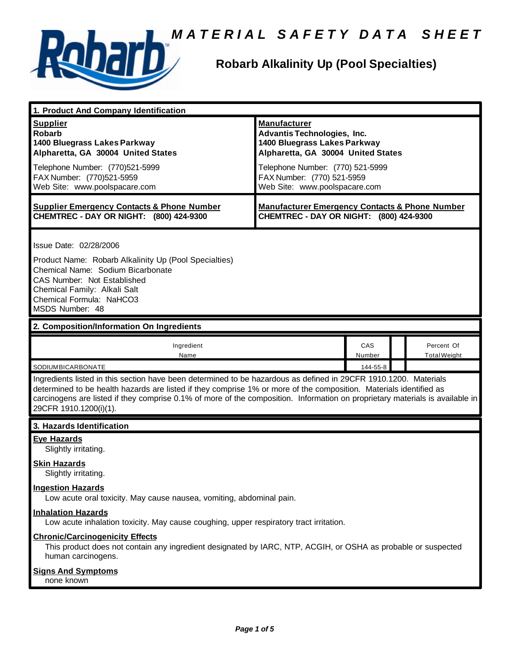



# **Robarb Alkalinity Up (Pool Specialties)**

| 1. Product And Company Identification                                                                                                                                                                                                                                                                                                                                                                                              |                                                                                                                                                                                                                                    |               |  |                                   |
|------------------------------------------------------------------------------------------------------------------------------------------------------------------------------------------------------------------------------------------------------------------------------------------------------------------------------------------------------------------------------------------------------------------------------------|------------------------------------------------------------------------------------------------------------------------------------------------------------------------------------------------------------------------------------|---------------|--|-----------------------------------|
| <b>Supplier</b><br><b>Robarb</b><br>1400 Bluegrass Lakes Parkway<br>Alpharetta, GA 30004 United States<br>Telephone Number: (770)521-5999<br>FAX Number: (770)521-5959<br>Web Site: www.poolspacare.com                                                                                                                                                                                                                            | <b>Manufacturer</b><br><b>Advantis Technologies, Inc.</b><br>1400 Bluegrass Lakes Parkway<br>Alpharetta, GA 30004 United States<br>Telephone Number: (770) 521-5999<br>FAX Number: (770) 521-5959<br>Web Site: www.poolspacare.com |               |  |                                   |
| <b>Supplier Emergency Contacts &amp; Phone Number</b><br>CHEMTREC - DAY OR NIGHT: (800) 424-9300                                                                                                                                                                                                                                                                                                                                   | <b>Manufacturer Emergency Contacts &amp; Phone Number</b><br>CHEMTREC - DAY OR NIGHT: (800) 424-9300                                                                                                                               |               |  |                                   |
| Issue Date: 02/28/2006<br>Product Name: Robarb Alkalinity Up (Pool Specialties)<br>Chemical Name: Sodium Bicarbonate<br>CAS Number: Not Established<br>Chemical Family: Alkali Salt<br>Chemical Formula: NaHCO3<br>MSDS Number: 48                                                                                                                                                                                                 |                                                                                                                                                                                                                                    |               |  |                                   |
| 2. Composition/Information On Ingredients                                                                                                                                                                                                                                                                                                                                                                                          |                                                                                                                                                                                                                                    |               |  |                                   |
| Ingredient<br>Name                                                                                                                                                                                                                                                                                                                                                                                                                 |                                                                                                                                                                                                                                    | CAS<br>Number |  | Percent Of<br><b>Total Weight</b> |
| SODIUMBICARBONATE<br>144-55-8<br>Ingredients listed in this section have been determined to be hazardous as defined in 29CFR 1910.1200. Materials<br>determined to be health hazards are listed if they comprise 1% or more of the composition. Materials identified as<br>carcinogens are listed if they comprise 0.1% of more of the composition. Information on proprietary materials is available in<br>29CFR 1910.1200(i)(1). |                                                                                                                                                                                                                                    |               |  |                                   |
| 3. Hazards Identification                                                                                                                                                                                                                                                                                                                                                                                                          |                                                                                                                                                                                                                                    |               |  |                                   |
| <b>Eye Hazards</b><br>Slightly irritating.<br><b>Skin Hazards</b><br>Slightly irritating.<br><b>Ingestion Hazards</b>                                                                                                                                                                                                                                                                                                              |                                                                                                                                                                                                                                    |               |  |                                   |
| Low acute oral toxicity. May cause nausea, vomiting, abdominal pain.                                                                                                                                                                                                                                                                                                                                                               |                                                                                                                                                                                                                                    |               |  |                                   |
| <b>Inhalation Hazards</b><br>Low acute inhalation toxicity. May cause coughing, upper respiratory tract irritation.                                                                                                                                                                                                                                                                                                                |                                                                                                                                                                                                                                    |               |  |                                   |
| <b>Chronic/Carcinogenicity Effects</b><br>This product does not contain any ingredient designated by IARC, NTP, ACGIH, or OSHA as probable or suspected<br>human carcinogens.                                                                                                                                                                                                                                                      |                                                                                                                                                                                                                                    |               |  |                                   |
| <b>Signs And Symptoms</b><br>none known                                                                                                                                                                                                                                                                                                                                                                                            |                                                                                                                                                                                                                                    |               |  |                                   |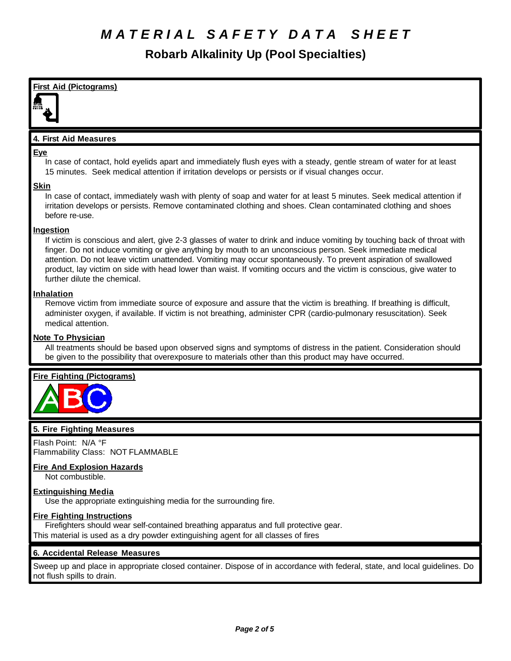**Robarb Alkalinity Up (Pool Specialties)**

**First Aid (Pictograms) 4. First Aid Measures Eye** In case of contact, hold eyelids apart and immediately flush eyes with a steady, gentle stream of water for at least 15 minutes. Seek medical attention if irritation develops or persists or if visual changes occur. **Skin** In case of contact, immediately wash with plenty of soap and water for at least 5 minutes. Seek medical attention if irritation develops or persists. Remove contaminated clothing and shoes. Clean contaminated clothing and shoes before re-use. **Ingestion** If victim is conscious and alert, give 2-3 glasses of water to drink and induce vomiting by touching back of throat with finger. Do not induce vomiting or give anything by mouth to an unconscious person. Seek immediate medical attention. Do not leave victim unattended. Vomiting may occur spontaneously. To prevent aspiration of swallowed product, lay victim on side with head lower than waist. If vomiting occurs and the victim is conscious, give water to further dilute the chemical. **Inhalation** Remove victim from immediate source of exposure and assure that the victim is breathing. If breathing is difficult, administer oxygen, if available. If victim is not breathing, administer CPR (cardio-pulmonary resuscitation). Seek medical attention. **Note To Physician** All treatments should be based upon observed signs and symptoms of distress in the patient. Consideration should be given to the possibility that overexposure to materials other than this product may have occurred. **Fire Fighting (Pictograms)**

# **5. Fire Fighting Measures**

Flash Point: N/A °F Flammability Class: NOT FLAMMABLE

# **Fire And Explosion Hazards**

Not combustible.

# **Extinguishing Media**

Use the appropriate extinguishing media for the surrounding fire.

# **Fire Fighting Instructions**

Firefighters should wear self-contained breathing apparatus and full protective gear. This material is used as a dry powder extinguishing agent for all classes of fires

# **6. Accidental Release Measures**

Sweep up and place in appropriate closed container. Dispose of in accordance with federal, state, and local guidelines. Do not flush spills to drain.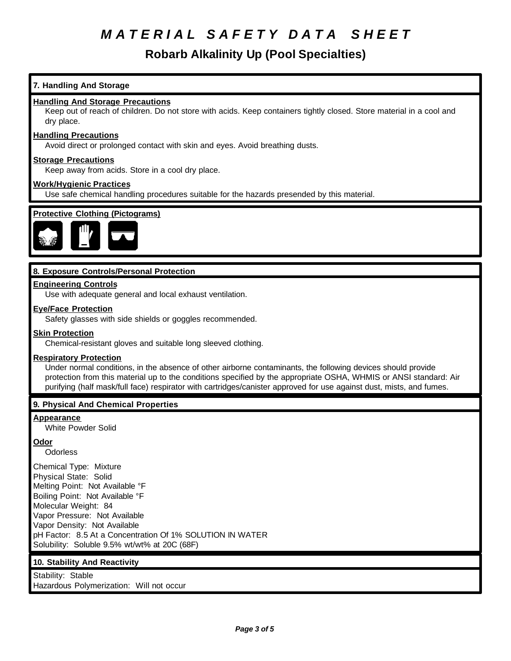# **Robarb Alkalinity Up (Pool Specialties)**

## **7. Handling And Storage**

### **Handling And Storage Precautions**

Keep out of reach of children. Do not store with acids. Keep containers tightly closed. Store material in a cool and dry place.

#### **Handling Precautions**

Avoid direct or prolonged contact with skin and eyes. Avoid breathing dusts.

#### **Storage Precautions**

Keep away from acids. Store in a cool dry place.

### **Work/Hygienic Practices**

Use safe chemical handling procedures suitable for the hazards presended by this material.



## **8. Exposure Controls/Personal Protection**

### **Engineering Controls**

Use with adequate general and local exhaust ventilation.

### **Eye/Face Protection**

Safety glasses with side shields or goggles recommended.

#### **Skin Protection**

Chemical-resistant gloves and suitable long sleeved clothing.

#### **Respiratory Protection**

Under normal conditions, in the absence of other airborne contaminants, the following devices should provide protection from this material up to the conditions specified by the appropriate OSHA, WHMIS or ANSI standard: Air purifying (half mask/full face) respirator with cartridges/canister approved for use against dust, mists, and fumes.

## **9. Physical And Chemical Properties**

#### **Appearance**

White Powder Solid

## **Odor**

**Odorless** 

Chemical Type: Mixture Physical State: Solid Melting Point: Not Available °F Boiling Point: Not Available °F Molecular Weight: 84 Vapor Pressure: Not Available Vapor Density: Not Available pH Factor: 8.5 At a Concentration Of 1% SOLUTION IN WATER Solubility: Soluble 9.5% wt/wt% at 20C (68F)

## **10. Stability And Reactivity**

Stability: Stable Hazardous Polymerization: Will not occur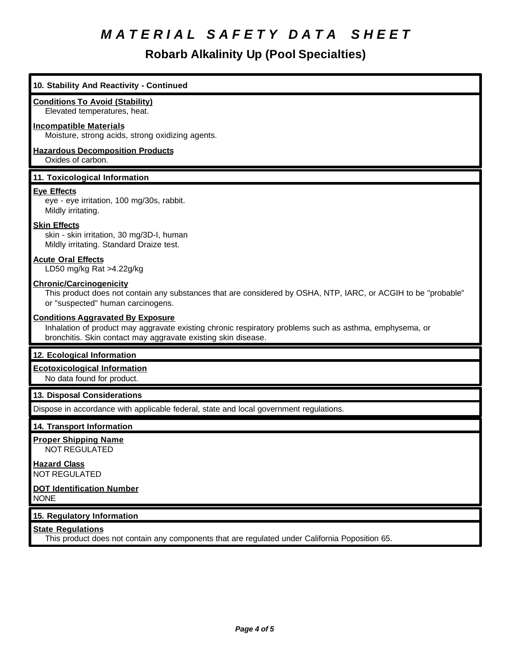**Robarb Alkalinity Up (Pool Specialties)**

# **10. Stability And Reactivity - Continued Conditions To Avoid (Stability)** Elevated temperatures, heat. **Incompatible Materials** Moisture, strong acids, strong oxidizing agents. **Hazardous Decomposition Products** Oxides of carbon. **11. Toxicological Information Eye Effects** eye - eye irritation, 100 mg/30s, rabbit. Mildly irritating. **Skin Effects** skin - skin irritation, 30 mg/3D-I, human Mildly irritating. Standard Draize test. **Acute Oral Effects** LD50 mg/kg Rat >4.22g/kg **Chronic/Carcinogenicity** This product does not contain any substances that are considered by OSHA, NTP, IARC, or ACGIH to be "probable" or "suspected" human carcinogens. **Conditions Aggravated By Exposure** Inhalation of product may aggravate existing chronic respiratory problems such as asthma, emphysema, or bronchitis. Skin contact may aggravate existing skin disease. **12. Ecological Information Ecotoxicological Information** No data found for product. **13. Disposal Considerations** Dispose in accordance with applicable federal, state and local government regulations. **14. Transport Information Proper Shipping Name** NOT REGULATED **Hazard Class** NOT REGULATED **DOT Identification Number** NONE **15. Regulatory Information State Regulations** This product does not contain any components that are regulated under California Poposition 65.